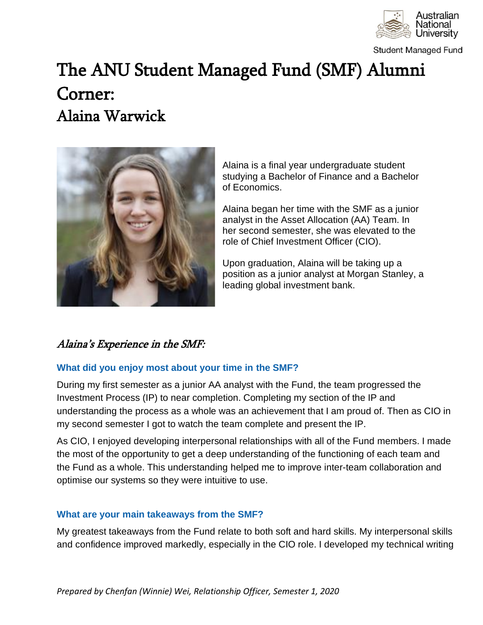

**Student Managed Fund** 

# The ANU Student Managed Fund (SMF) Alumni Corner: Alaina Warwick



Alaina is a final year undergraduate student studying a Bachelor of Finance and a Bachelor of Economics.

Alaina began her time with the SMF as a junior analyst in the Asset Allocation (AA) Team. In her second semester, she was elevated to the role of Chief Investment Officer (CIO).

Upon graduation, Alaina will be taking up a position as a junior analyst at Morgan Stanley, a leading global investment bank.

## Alaina's Experience in the SMF:

### **What did you enjoy most about your time in the SMF?**

During my first semester as a junior AA analyst with the Fund, the team progressed the Investment Process (IP) to near completion. Completing my section of the IP and understanding the process as a whole was an achievement that I am proud of. Then as CIO in my second semester I got to watch the team complete and present the IP.

As CIO, I enjoyed developing interpersonal relationships with all of the Fund members. I made the most of the opportunity to get a deep understanding of the functioning of each team and the Fund as a whole. This understanding helped me to improve inter-team collaboration and optimise our systems so they were intuitive to use.

#### **What are your main takeaways from the SMF?**

My greatest takeaways from the Fund relate to both soft and hard skills. My interpersonal skills and confidence improved markedly, especially in the CIO role. I developed my technical writing